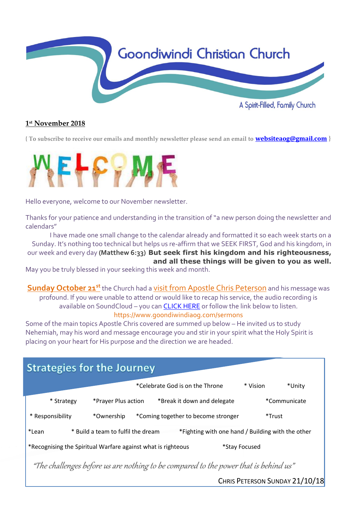

### **1 st November 2018**

**{ To subscribe to receive our emails and monthly newsletter please send an email to [websiteaog@gmail.com](mailto:websiteaog@gmail.com) }**



Hello everyone, welcome to our November newsletter.

Thanks for your patience and understanding in the transition of "a new person doing the newsletter and calendars"

I have made one small change to the calendar already and formatted it so each week starts on a Sunday. It's nothing too technical but helps us re-affirm that we SEEK FIRST, God and his kingdom, in our week and every day **(Matthew 6:33) But seek first his kingdom and his righteousness, and all these things will be given to you as well.**

May you be truly blessed in your seeking this week and month.

**Sunday October 21<sup>st</sup>** the Church had a visit from Apostle Chris Peterson and his message was profound. If you were unable to attend or would like to recap his service, the audio recording is available on SoundCloud – you ca[n CLICK HERE](https://soundcloud.com/goondiwindi-aog) or follow the link below to listen.

https://www.goondiwindiaog.com/sermons

Some of the main topics Apostle Chris covered are summed up below – He invited us to study Nehemiah, may his word and message encourage you and stir in your spirit what the Holy Spirit is placing on your heart for His purpose and the direction we are headed.

| <b>Strategies for the Journey</b>                                                                |                     |                                     |                    |
|--------------------------------------------------------------------------------------------------|---------------------|-------------------------------------|--------------------|
|                                                                                                  |                     | *Celebrate God is on the Throne     | * Vision<br>*Unity |
| * Strategy                                                                                       | *Prayer Plus action | *Break it down and delegate         | *Communicate       |
| * Responsibility                                                                                 | *Ownership          | *Coming together to become stronger | *Trust             |
| *Lean<br>* Build a team to fulfil the dream<br>*Fighting with one hand / Building with the other |                     |                                     |                    |
| *Recognising the Spiritual Warfare against what is righteous<br>*Stay Focused                    |                     |                                     |                    |
| "The challenges before us are nothing to be compared to the power that is behind us"             |                     |                                     |                    |

CHRIS PETERSON SUNDAY 21/10/18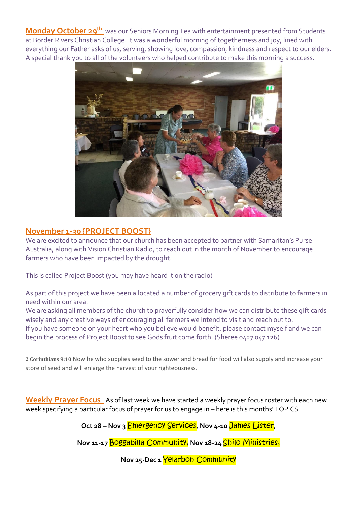**Monday October 29th** was our Seniors Morning Tea with entertainment presented from Students at Border Rivers Christian College. It was a wonderful morning of togetherness and joy, lined with everything our Father asks of us, serving, showing love, compassion, kindness and respect to our elders. A special thank you to all of the volunteers who helped contribute to make this morning a success.



## **November 1-30 {PROJECT BOOST}**

We are excited to announce that our church has been accepted to partner with Samaritan's Purse Australia, along with Vision Christian Radio, to reach out in the month of November to encourage farmers who have been impacted by the drought.

This is called Project Boost (you may have heard it on the radio)

As part of this project we have been allocated a number of grocery gift cards to distribute to farmers in need within our area.

We are asking all members of the church to prayerfully consider how we can distribute these gift cards wisely and any creative ways of encouraging all farmers we intend to visit and reach out to. If you have someone on your heart who you believe would benefit, please contact myself and we can [begin the process of Project Boost to see Gods fruit come forth.](https://www.biblestudytools.com/2-corinthians/9-10.html) (Sheree 0427 047 126)

**2 Corinthians 9:10** [Now he who supplies seed to the sower and bread for food will also supply and increase your](https://www.biblestudytools.com/2-corinthians/9-10.html)  [store of seed and will enlarge the harvest of your righteousness.](https://www.biblestudytools.com/2-corinthians/9-10.html)

**Weekly Prayer Focus** As of last week we have started a weekly prayer focus roster with each new week specifying a particular focus of prayer for us to engage in – here is this months' TOPICS

**Oct 28 – Nov 3** Emergency Services, **Nov 4-10** James Lister,

**Nov 11-17** Boggabilla Community, **Nov 18-24** Shilo Ministries,

**Nov 25-Dec 1 Yelarbon Community**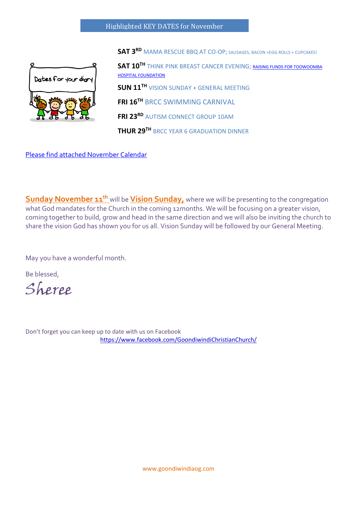

**SAT 3RD** MAMA RESCUE BBQ AT CO-OP; SAUSAGES, BACON +EGG ROLLS + CUPCAKES!

**SAT 10TH** THINK PINK BREAST CANCER EVENING; [RAISING FUNDS FOR TOOWOOMBA](https://events.toowoombahospitalfoundation.org.au/fundraisers/thinkpink?fbclid=IwAR0TPFluUaPzpLv_HTBBl21gfh3UV87rYs5b-7o2TFprawu_pIP17kXAcx4)  **[HOSPITAL FOUNDATION](https://events.toowoombahospitalfoundation.org.au/fundraisers/thinkpink?fbclid=IwAR0TPFluUaPzpLv_HTBBl21gfh3UV87rYs5b-7o2TFprawu_pIP17kXAcx4) SUN 11TH** VISION SUNDAY + GENERAL MEETING **FRI 16TH** BRCC SWIMMING CARNIVAL

**FRI 23RD** AUTISM CONNECT GROUP 10AM

**THUR 29TH** BRCC YEAR 6 GRADUATION DINNER

[Please find attached November Calendar](https://docs.wixstatic.com/ugd/1e01d8_a9973112591f4bb89478e07017c4f6a4.pdf)

**Sunday November 11<sup>th</sup>** will be **Vision Sunday**, where we will be presenting to the congregation what God mandates for the Church in the coming 12months. We will be focusing on a greater vision, coming together to build, grow and head in the same direction and we will also be inviting the church to share the vision God has shown you for us all. Vision Sunday will be followed by our General Meeting.

May you have a wonderful month.

Be blessed,

Sheree

Don't forget you can keep up to date with us on Facebook <https://www.facebook.com/GoondiwindiChristianChurch/>

www.goondiwindiaog.com